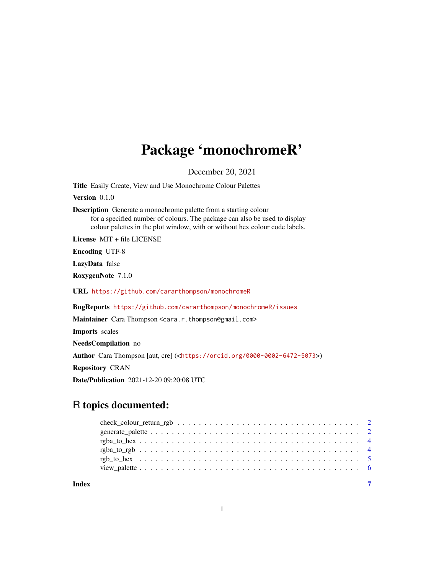## Package 'monochromeR'

December 20, 2021

Title Easily Create, View and Use Monochrome Colour Palettes

Version 0.1.0

Description Generate a monochrome palette from a starting colour for a specified number of colours. The package can also be used to display colour palettes in the plot window, with or without hex colour code labels.

License MIT + file LICENSE

Encoding UTF-8

LazyData false

RoxygenNote 7.1.0

URL <https://github.com/cararthompson/monochromeR>

BugReports <https://github.com/cararthompson/monochromeR/issues>

Maintainer Cara Thompson <cara.r.thompson@gmail.com>

Imports scales

NeedsCompilation no

Author Cara Thompson [aut, cre] (<<https://orcid.org/0000-0002-6472-5073>>)

Repository CRAN

Date/Publication 2021-12-20 09:20:08 UTC

### R topics documented:

| Index |  |
|-------|--|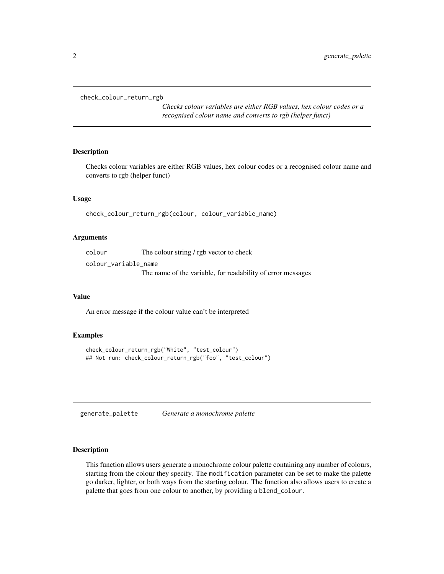```
check_colour_return_rgb
```
*Checks colour variables are either RGB values, hex colour codes or a recognised colour name and converts to rgb (helper funct)*

#### Description

Checks colour variables are either RGB values, hex colour codes or a recognised colour name and converts to rgb (helper funct)

#### Usage

check\_colour\_return\_rgb(colour, colour\_variable\_name)

#### Arguments

colour The colour string / rgb vector to check

colour\_variable\_name The name of the variable, for readability of error messages

#### Value

An error message if the colour value can't be interpreted

#### Examples

```
check_colour_return_rgb("White", "test_colour")
## Not run: check_colour_return_rgb("foo", "test_colour")
```
generate\_palette *Generate a monochrome palette*

#### Description

This function allows users generate a monochrome colour palette containing any number of colours, starting from the colour they specify. The modification parameter can be set to make the palette go darker, lighter, or both ways from the starting colour. The function also allows users to create a palette that goes from one colour to another, by providing a blend\_colour.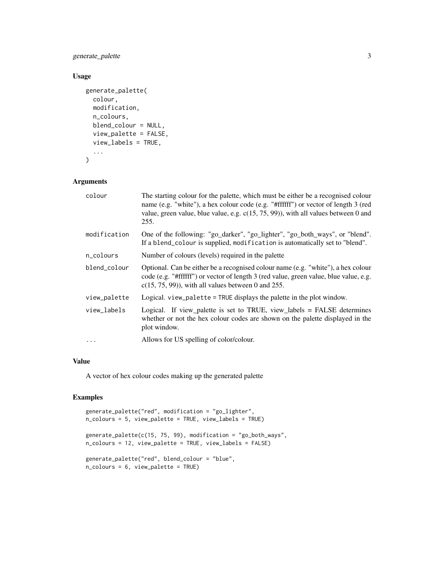generate\_palette 3

#### Usage

```
generate_palette(
 colour,
 modification,
 n_colours,
 blend_colour = NULL,
 view_palette = FALSE,
 view_labels = TRUE,
  ...
\mathcal{L}
```
#### Arguments

| colour                           | The starting colour for the palette, which must be either be a recognised colour<br>name (e.g. "white"), a hex colour code (e.g. "#ffffff") or vector of length 3 (red<br>value, green value, blue value, e.g. $c(15, 75, 99)$ ), with all values between 0 and<br>255. |
|----------------------------------|-------------------------------------------------------------------------------------------------------------------------------------------------------------------------------------------------------------------------------------------------------------------------|
| modification                     | One of the following: "go_darker", "go_lighter", "go_both_ways", or "blend".<br>If a blend_colour is supplied, modification is automatically set to "blend".                                                                                                            |
| n_colours                        | Number of colours (levels) required in the palette                                                                                                                                                                                                                      |
| blend_colour                     | Optional. Can be either be a recognised colour name (e.g. "white"), a hex colour<br>code (e.g. "#ffffff") or vector of length 3 (red value, green value, blue value, e.g.<br>$c(15, 75, 99)$ , with all values between 0 and 255.                                       |
| view_palette                     | Logical. view_palette = TRUE displays the palette in the plot window.                                                                                                                                                                                                   |
| view_labels                      | Logical. If view_palette is set to TRUE, view_labels = FALSE determines<br>whether or not the hex colour codes are shown on the palette displayed in the<br>plot window.                                                                                                |
| $\bullet$ .<br><br><br>$\bullet$ | Allows for US spelling of color/colour.                                                                                                                                                                                                                                 |

#### Value

A vector of hex colour codes making up the generated palette

#### Examples

```
generate_palette("red", modification = "go_lighter",
n_colours = 5, view_palette = TRUE, view_labels = TRUE)
generate_palette(c(15, 75, 99), modification = "go_both_ways",
n_colours = 12, view_palette = TRUE, view_labels = FALSE)
generate_palette("red", blend_colour = "blue",
n_colours = 6, view_palette = TRUE)
```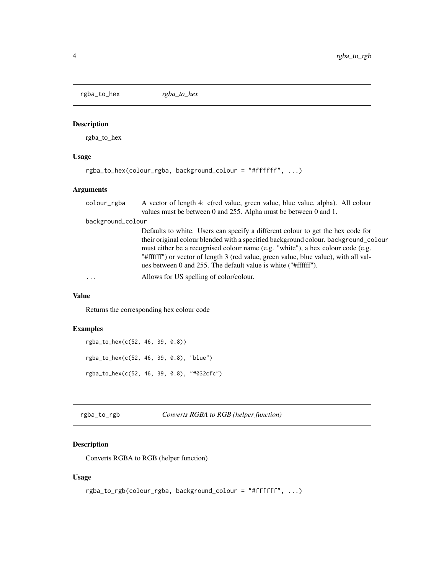<span id="page-3-0"></span>rgba\_to\_hex *rgba\_to\_hex*

#### Description

rgba\_to\_hex

#### Usage

```
rgba_to_hex(colour_rgba, background_colour = "#ffffff", ...)
```
#### Arguments

|                   | colour_rgba | A vector of length 4: c(red value, green value, blue value, alpha). All colour<br>values must be between 0 and 255. Alpha must be between 0 and 1.                                                                                                                                                                                                                                                                  |
|-------------------|-------------|---------------------------------------------------------------------------------------------------------------------------------------------------------------------------------------------------------------------------------------------------------------------------------------------------------------------------------------------------------------------------------------------------------------------|
| background_colour |             |                                                                                                                                                                                                                                                                                                                                                                                                                     |
|                   |             | Defaults to white. Users can specify a different colour to get the hex code for<br>their original colour blended with a specified background colour. background_colour<br>must either be a recognised colour name (e.g. "white"), a hex colour code (e.g.<br>"#ffffff") or vector of length 3 (red value, green value, blue value), with all val-<br>ues between 0 and 255. The default value is white ("#ffffff"). |
|                   | $\cdots$    | Allows for US spelling of color/colour.                                                                                                                                                                                                                                                                                                                                                                             |
|                   |             |                                                                                                                                                                                                                                                                                                                                                                                                                     |

#### Value

Returns the corresponding hex colour code

#### Examples

```
rgba_to_hex(c(52, 46, 39, 0.8))
rgba_to_hex(c(52, 46, 39, 0.8), "blue")
rgba_to_hex(c(52, 46, 39, 0.8), "#032cfc")
```
rgba\_to\_rgb *Converts RGBA to RGB (helper function)*

#### Description

Converts RGBA to RGB (helper function)

#### Usage

```
rgba_to_rgb(colour_rgba, background_colour = "#ffffff", ...)
```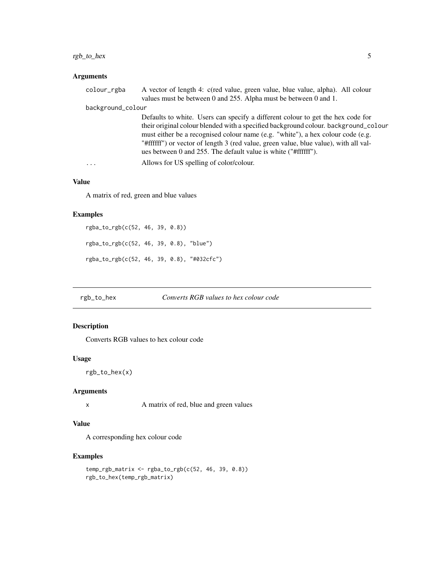#### <span id="page-4-0"></span>rgb\_to\_hex 5

#### Arguments

| colour_rgba       | A vector of length 4: c(red value, green value, blue value, alpha). All colour       |  |
|-------------------|--------------------------------------------------------------------------------------|--|
|                   | values must be between 0 and 255. Alpha must be between 0 and 1.                     |  |
| background_colour |                                                                                      |  |
|                   | Defaults to white. Users can specify a different colour to get the hex code for      |  |
|                   | their original colour blended with a specified background colour. background_colour  |  |
|                   | must either be a recognised colour name (e.g. "white"), a hex colour code (e.g.      |  |
|                   | "#ffffff") or vector of length 3 (red value, green value, blue value), with all val- |  |
|                   | ues between 0 and 255. The default value is white ("#ffffff").                       |  |
| $\ddotsc$         | Allows for US spelling of color/colour.                                              |  |
|                   |                                                                                      |  |

#### Value

A matrix of red, green and blue values

#### Examples

```
rgba_to_rgb(c(52, 46, 39, 0.8))
rgba_to_rgb(c(52, 46, 39, 0.8), "blue")
rgba_to_rgb(c(52, 46, 39, 0.8), "#032cfc")
```
rgb\_to\_hex *Converts RGB values to hex colour code*

#### Description

Converts RGB values to hex colour code

#### Usage

rgb\_to\_hex(x)

#### Arguments

x A matrix of red, blue and green values

#### Value

A corresponding hex colour code

#### Examples

```
temp_rgb_matrix <- rgba_to_rgb(c(52, 46, 39, 0.8))
rgb_to_hex(temp_rgb_matrix)
```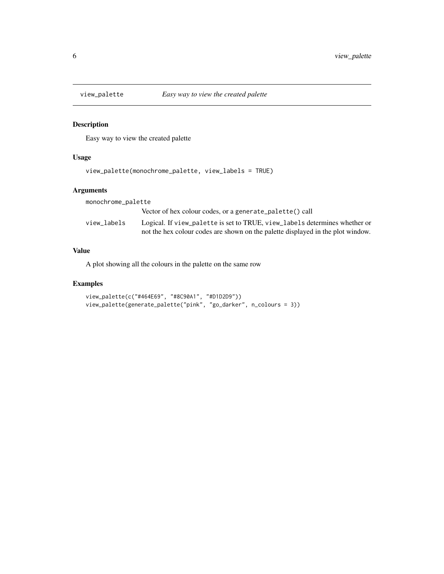<span id="page-5-0"></span>

#### Description

Easy way to view the created palette

#### Usage

```
view_palette(monochrome_palette, view_labels = TRUE)
```
#### Arguments

| monochrome_palette |                                                                                 |  |  |
|--------------------|---------------------------------------------------------------------------------|--|--|
|                    | Vector of hex colour codes, or a generate_palette() call                        |  |  |
| view labels        | Logical. If view_palette is set to TRUE, view_labels determines whether or      |  |  |
|                    | not the hex colour codes are shown on the palette displayed in the plot window. |  |  |

#### Value

A plot showing all the colours in the palette on the same row

#### Examples

```
view_palette(c("#464E69", "#8C90A1", "#D1D2D9"))
view_palette(generate_palette("pink", "go_darker", n_colours = 3))
```